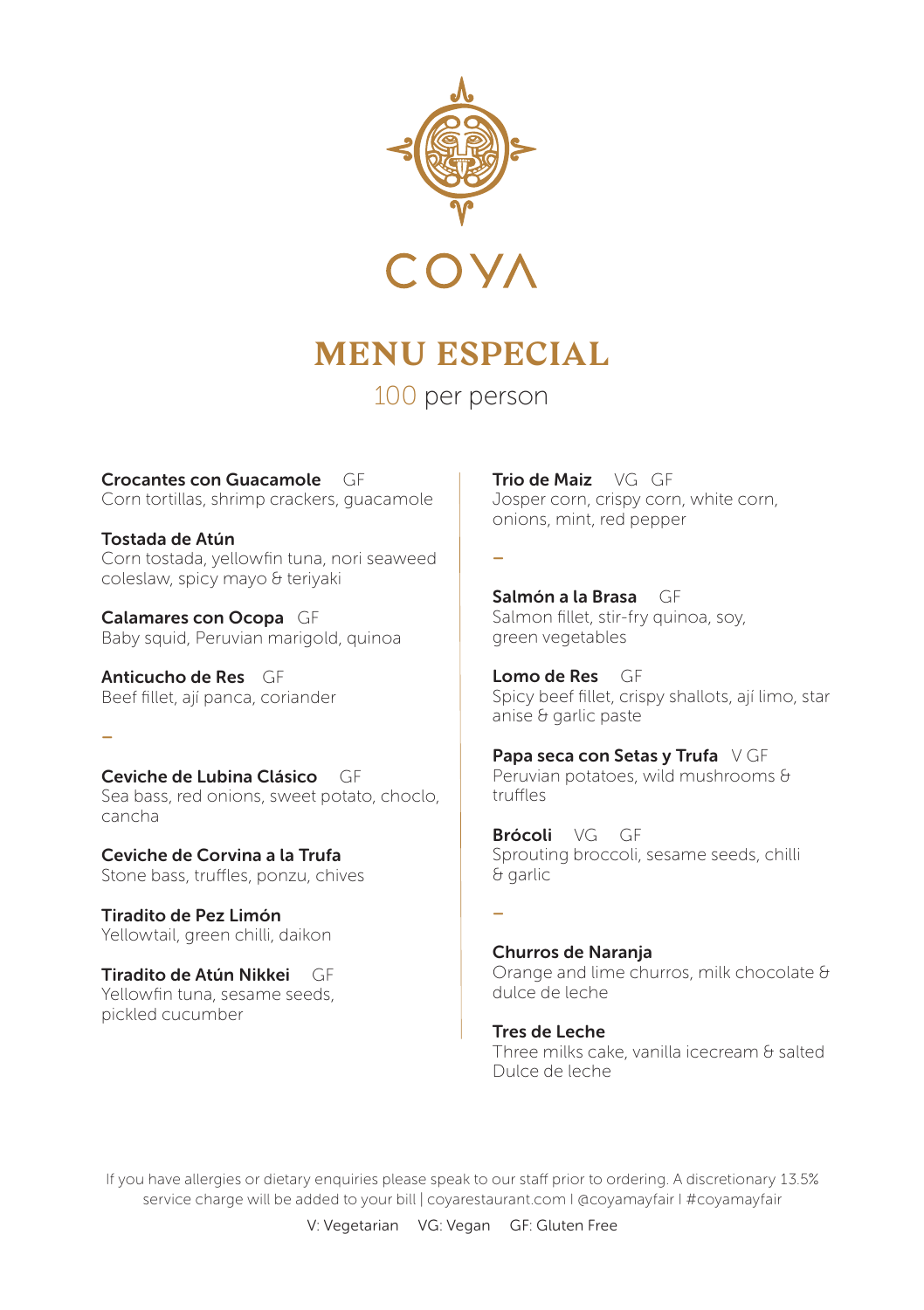

## **MENU ESPECIAL**

100 per person

Crocantes con Guacamole GF Corn tortillas, shrimp crackers, guacamole

Tostada de Atún Corn tostada, yellowfin tuna, nori seaweed coleslaw, spicy mayo & teriyaki

Calamares con Ocopa GF Baby squid, Peruvian marigold, quinoa

Anticucho de Res GF Beef fillet, ají panca, coriander

–

cancha

Ceviche de Lubina Clásico GF Sea bass, red onions, sweet potato, choclo,

Ceviche de Corvina a la Trufa Stone bass, truffles, ponzu, chives

Tiradito de Pez Limón Yellowtail, green chilli, daikon

Tiradito de Atún Nikkei GF Yellowfin tuna, sesame seeds, pickled cucumber

Trio de Maiz VG GF Josper corn, crispy corn, white corn, onions, mint, red pepper

–

Salmón a la Brasa GF Salmon fillet, stir-fry quinoa, soy, green vegetables

Lomo de Res GF Spicy beef fillet, crispy shallots, ají limo, star anise & garlic paste

Papa seca con Setas y Trufa V GF Peruvian potatoes, wild mushrooms & truffles

Brócoli VG GF Sprouting broccoli, sesame seeds, chilli & garlic

–

Churros de Naranja Orange and lime churros, milk chocolate & dulce de leche

Tres de Leche Three milks cake, vanilla icecream & salted Dulce de leche

If you have allergies or dietary enquiries please speak to our staff prior to ordering. A discretionary 13.5% service charge will be added to your bill | coyarestaurant.com | @coyamayfair | #coyamayfair